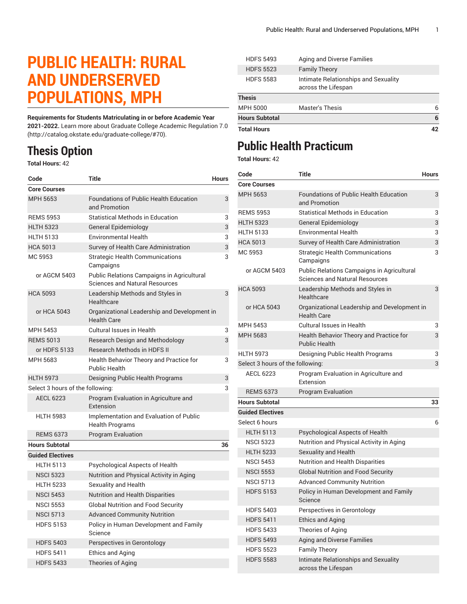## **PUBLIC HEALTH: RURAL AND UNDERSERVED POPULATIONS, MPH**

**Requirements for Students Matriculating in or before Academic Year 2021-2022.** Learn more about [Graduate College Academic Regulation 7.0](http://catalog.okstate.edu/graduate-college/#70) (<http://catalog.okstate.edu/graduate-college/#70>).

## **Thesis Option**

**Total Hours:** 42

| Code                             | <b>Title</b>                                                                        | <b>Hours</b> |
|----------------------------------|-------------------------------------------------------------------------------------|--------------|
| <b>Core Courses</b>              |                                                                                     |              |
| MPH 5653                         | <b>Foundations of Public Health Education</b><br>and Promotion                      | 3            |
| <b>REMS 5953</b>                 | <b>Statistical Methods in Education</b>                                             | 3            |
| <b>HLTH 5323</b>                 | <b>General Epidemiology</b>                                                         | 3            |
| <b>HLTH 5133</b>                 | <b>Environmental Health</b>                                                         | 3            |
| <b>HCA 5013</b>                  | Survey of Health Care Administration                                                | 3            |
| MC 5953                          | <b>Strategic Health Communications</b><br>Campaigns                                 | 3            |
| or AGCM 5403                     | Public Relations Campaigns in Agricultural<br><b>Sciences and Natural Resources</b> |              |
| <b>HCA 5093</b>                  | Leadership Methods and Styles in<br>Healthcare                                      | 3            |
| or HCA 5043                      | Organizational Leadership and Development in<br><b>Health Care</b>                  |              |
| MPH 5453                         | Cultural Issues in Health                                                           | 3            |
| <b>REMS 5013</b>                 | Research Design and Methodology                                                     | 3            |
| or HDFS 5133                     | <b>Research Methods in HDFS II</b>                                                  |              |
| MPH 5683                         | Health Behavior Theory and Practice for<br><b>Public Health</b>                     | 3            |
| <b>HLTH 5973</b>                 | Designing Public Health Programs                                                    | 3            |
| Select 3 hours of the following: |                                                                                     | 3            |
| <b>AECL 6223</b>                 | Program Evaluation in Agriculture and<br>Extension                                  |              |
| <b>HLTH 5983</b>                 | Implementation and Evaluation of Public<br><b>Health Programs</b>                   |              |
| <b>REMS 6373</b>                 | <b>Program Evaluation</b>                                                           |              |
| <b>Hours Subtotal</b>            |                                                                                     | 36           |
| <b>Guided Electives</b>          |                                                                                     |              |
| <b>HLTH 5113</b>                 | Psychological Aspects of Health                                                     |              |
| <b>NSCI 5323</b>                 | Nutrition and Physical Activity in Aging                                            |              |
| <b>HLTH 5233</b>                 | Sexuality and Health                                                                |              |
| <b>NSCI 5453</b>                 | <b>Nutrition and Health Disparities</b>                                             |              |
| <b>NSCI 5553</b>                 | <b>Global Nutrition and Food Security</b>                                           |              |
| <b>NSCI 5713</b>                 | <b>Advanced Community Nutrition</b>                                                 |              |
| <b>HDFS 5153</b>                 | Policy in Human Development and Family<br>Science                                   |              |
| <b>HDFS 5403</b>                 | Perspectives in Gerontology                                                         |              |
| <b>HDFS 5411</b>                 | <b>Ethics and Aging</b>                                                             |              |
| <b>HDFS 5433</b>                 | Theories of Aging                                                                   |              |

| <b>Total Hours</b>    |                                                             | 42 |
|-----------------------|-------------------------------------------------------------|----|
| <b>Hours Subtotal</b> |                                                             | 6  |
| <b>MPH 5000</b>       | <b>Master's Thesis</b>                                      | 6  |
| <b>Thesis</b>         |                                                             |    |
| <b>HDFS 5583</b>      | Intimate Relationships and Sexuality<br>across the Lifespan |    |
| <b>HDFS 5523</b>      | <b>Family Theory</b>                                        |    |
| <b>HDFS 5493</b>      | Aging and Diverse Families                                  |    |

## **Public Health Practicum**

**Total Hours:** 42

| Code                             | Title                                                                               | <b>Hours</b> |
|----------------------------------|-------------------------------------------------------------------------------------|--------------|
| <b>Core Courses</b>              |                                                                                     |              |
| MPH 5653                         | <b>Foundations of Public Health Education</b><br>and Promotion                      | 3            |
| <b>REMS 5953</b>                 | <b>Statistical Methods in Education</b>                                             | 3            |
| <b>HLTH 5323</b>                 | General Epidemiology                                                                | 3            |
| <b>HLTH 5133</b>                 | <b>Environmental Health</b>                                                         | 3            |
| <b>HCA 5013</b>                  | Survey of Health Care Administration                                                | 3            |
| MC 5953                          | <b>Strategic Health Communications</b><br>Campaigns                                 | 3            |
| or AGCM 5403                     | Public Relations Campaigns in Agricultural<br><b>Sciences and Natural Resources</b> |              |
| <b>HCA 5093</b>                  | Leadership Methods and Styles in<br>Healthcare                                      | 3            |
| or HCA 5043                      | Organizational Leadership and Development in<br><b>Health Care</b>                  |              |
| MPH 5453                         | Cultural Issues in Health                                                           | 3            |
| <b>MPH 5683</b>                  | Health Behavior Theory and Practice for<br><b>Public Health</b>                     | 3            |
| <b>HLTH 5973</b>                 | Designing Public Health Programs                                                    | 3            |
| Select 3 hours of the following: |                                                                                     | 3            |
| <b>AECL 6223</b>                 | Program Evaluation in Agriculture and<br>Extension                                  |              |
| <b>REMS 6373</b>                 | <b>Program Evaluation</b>                                                           |              |
| <b>Hours Subtotal</b>            |                                                                                     | 33           |
| <b>Guided Electives</b>          |                                                                                     |              |
| Select 6 hours                   |                                                                                     | 6            |
| <b>HLTH 5113</b>                 | Psychological Aspects of Health                                                     |              |
| <b>NSCI 5323</b>                 | Nutrition and Physical Activity in Aging                                            |              |
| <b>HLTH 5233</b>                 | <b>Sexuality and Health</b>                                                         |              |
| <b>NSCI 5453</b>                 | <b>Nutrition and Health Disparities</b>                                             |              |
| <b>NSCI 5553</b>                 | <b>Global Nutrition and Food Security</b>                                           |              |
| <b>NSCI 5713</b>                 | <b>Advanced Community Nutrition</b>                                                 |              |
| <b>HDFS 5153</b>                 | Policy in Human Development and Family<br>Science                                   |              |
| <b>HDFS 5403</b>                 | Perspectives in Gerontology                                                         |              |
| <b>HDFS 5411</b>                 | <b>Ethics and Aging</b>                                                             |              |
| <b>HDFS 5433</b>                 | Theories of Aging                                                                   |              |
| <b>HDFS 5493</b>                 | <b>Aging and Diverse Families</b>                                                   |              |
| <b>HDFS 5523</b>                 | <b>Family Theory</b>                                                                |              |
| <b>HDFS 5583</b>                 | Intimate Relationships and Sexuality<br>across the Lifespan                         |              |
|                                  |                                                                                     |              |